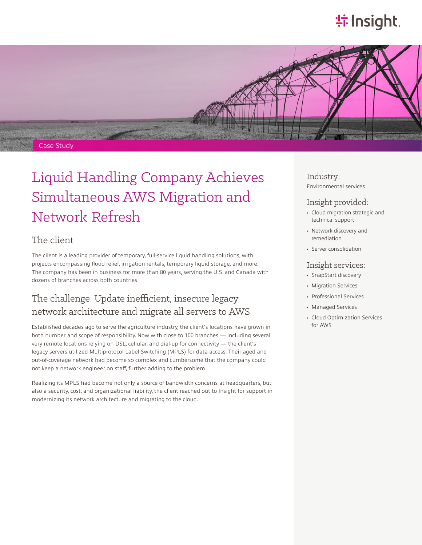# **特Insight**.



# Liquid Handling Company Achieves Simultaneous AWS Migration and Network Refresh

### The client

The client is a leading provider of temporary, full-service liquid handling solutions, with projects encompassing flood relief, irrigation rentals, temporary liquid storage, and more. The company has been in business for more than 80 years, serving the U.S. and Canada with dozens of branches across both countries.

### The challenge: Update inefficient, insecure legacy network architecture and migrate all servers to AWS

Established decades ago to serve the agriculture industry, the client's locations have grown in both number and scope of responsibility. Now with close to 100 branches — including several very remote locations relying on DSL, cellular, and dial-up for connectivity — the client's legacy servers utilized Multiprotocol Label Switching (MPLS) for data access. Their aged and out-of-coverage network had become so complex and cumbersome that the company could not keep a network engineer on staff, further adding to the problem.

Realizing its MPLS had become not only a source of bandwidth concerns at headquarters, but also a security, cost, and organizational liability, the client reached out to Insight for support in modernizing its network architecture and migrating to the cloud.

Industry: Environmental services

#### Insight provided:

- Cloud migration strategic and technical support
- Network discovery and remediation
- Server consolidation

#### Insight services:

- SnapStart discovery
- Migration Services
- Professional Services
- Managed Services
- Cloud Optimization Services for AWS